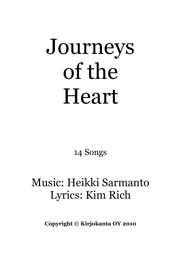# Journeys of the Heart

14 Songs

## Music: Heikki Sarmanto Lyrics: Kim Rich

Copyright © Kirjokanta OY 2010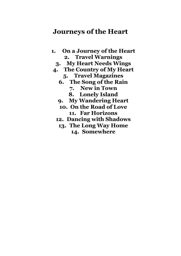#### Journeys of the Heart

- 1. On a Journey of the Heart 2. Travel Warnings
	- 3. My Heart Needs Wings
- 4. The Country of My Heart
	- 5. Travel Magazines
	- 6. The Song of the Rain
		- 7. New in Town
		- 8. Lonely Island
	- 9. My Wandering Heart
	- 10. On the Road of Love 11. Far Horizons
	- 12. Dancing with Shadows
		- 13. The Long Way Home 14. Somewhere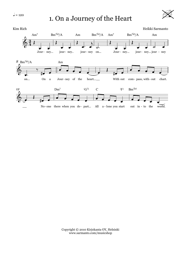### $J = 120$  1. On a Journey of the Heart



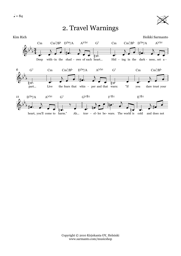

#### 2. Travel Warnings

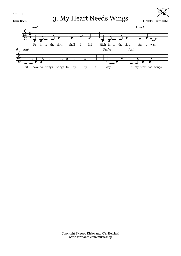$\sum_{\text{Kim Rich}}$  3. My Heart Needs Wings  $\sum_{\text{Heikki Sarmanto}}$ 



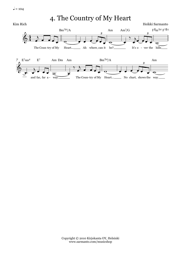$= 104$ 

4. The Country of My Heart

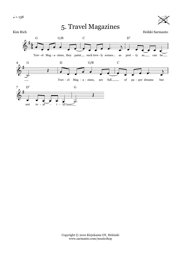#### Kim Rich Heikki Sarmanto 5. Travel Magazines

 $\cancel{\cancel{\approx}}$ 

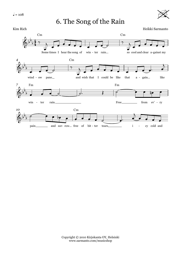$l = 108$ 

#### 6. The Song of the Rain



 $\cancel{\cancel{\approx}}$ 

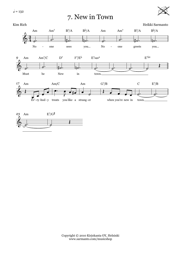$\sqrt{ }=132$ 

#### 7. New in Town





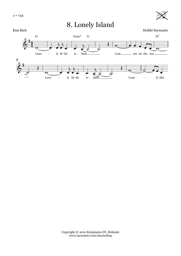8. Lonely Island



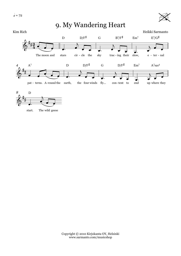$l = 72$ 

 $\overline{4}$ 



#### 9. My Wandering Heart Kim Rich Heikki Sarmanto  $D/F^{\sharp}$  $B^7/F^{\sharp}$  $E^7/G^{\sharp}$  $\mathbf D$  $\overline{G}$  $\rm Em^7$ ◢. sky The moon and cir - cle the trac - ing their slow, stars  $e$  -  $ter$  -  $nal$  $D/F^{\sharp}$  $D/F^{\sharp}$  $A^7$  $\overline{D}$  $\overline{G}$  $Em<sup>7</sup>$  $A^7$ sus<sup>4</sup> z pat - terns. A-round the earth, the four winds fly...  $\mbox{con-tent}$  to end up where they



start. The wild geese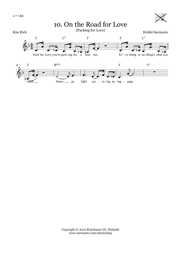need.



Some  $-$  go light car - ry-ing no lug - gage.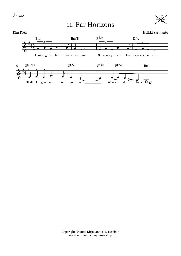#### 11. Far Horizons



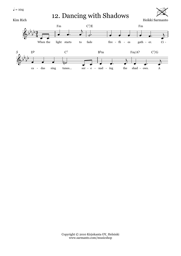$= 104$ 

Kim Rich

12. Dancing with Shadows



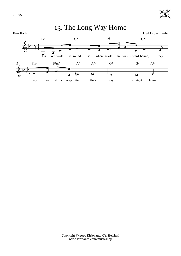



may not al - ways find their way straight home.